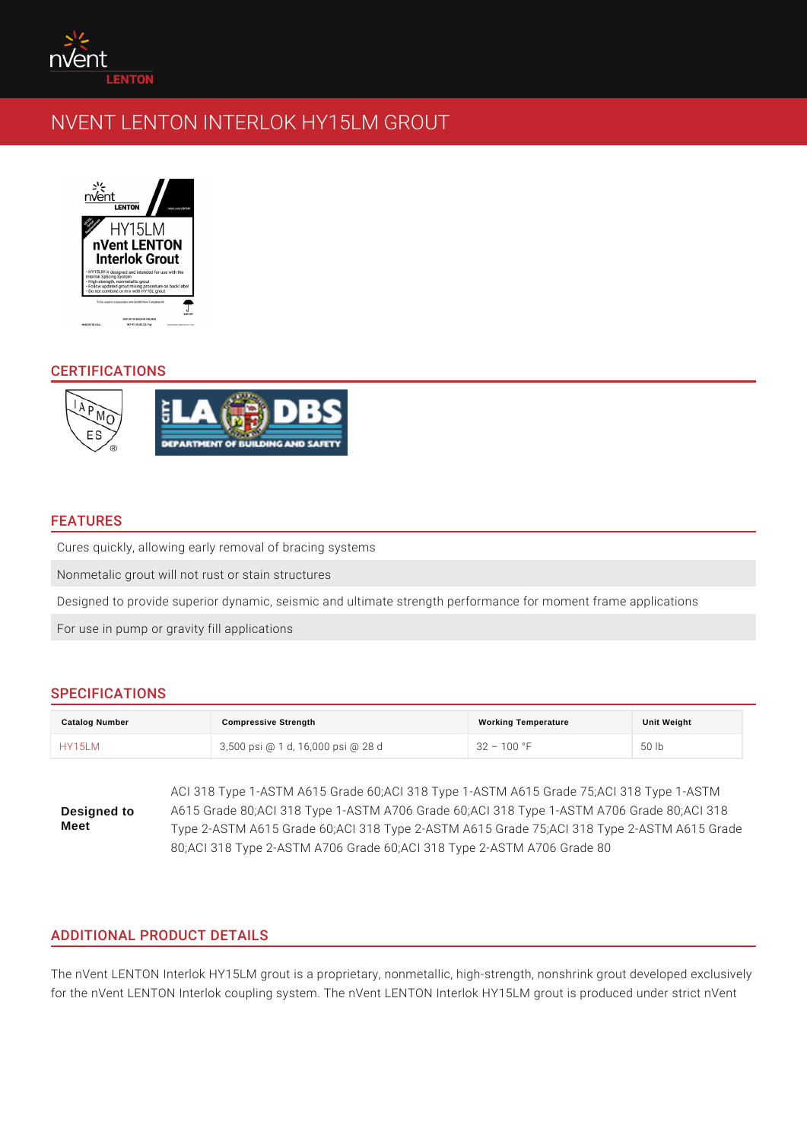# CERTIFICATIONS

#### FEATURES

Cures quickly, allowing early removal of bracing systems Nonmetalic grout will not rust or stain structures Designed to provide superior dynamic, seismic and ultimate strength performand For use in pump or gravity fill applications

# SPECIFICATIONS

| Catalog Number | Compressive Strength                | Working Temperature | Unit Weight |
|----------------|-------------------------------------|---------------------|-------------|
| <b>HY15LM</b>  | 3,500 psi @ 1 d, 16,000 psi @ 2832d | 100 °F              | 50<br>l b   |

Designed to Meet ACI 318 Type 1-ASTM A615 Grade 60;ACI 318 Type 1-ASTM A615 Gr A615 Grade 80;ACI 318 Type 1-ASTM A706 Grade 60;ACI 318 Type 1-ASTM A706 Grade 80;ACI 318 Type 2-ASTM A615 Grade 60; ACI 318 Type 2-ASTM A615 Grade 75; A 80;ACI 318 Type 2-ASTM A706 Grade 60;ACI 318 Type 2-ASTM A706

# ADDITIONAL PRODUCT DETAILS

The nVent LENTON Interlok HY15LM grout is a proprietary, nonmetallic, high-str for the nVent LENTON Interlok coupling system. The nVent LENTON Interlok HY1